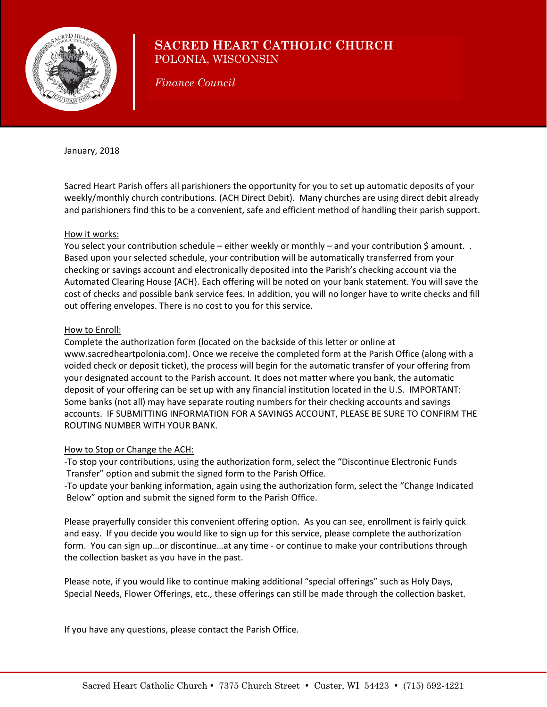

## **SACRED HEART CATHOLIC CHURCH** POLONIA, WISCONSIN

*Finance Council* 

January, 2018

Sacred Heart Parish offers all parishioners the opportunity for you to set up automatic deposits of your weekly/monthly church contributions. (ACH Direct Debit). Many churches are using direct debit already and parishioners find this to be a convenient, safe and efficient method of handling their parish support.

#### How it works:

You select your contribution schedule – either weekly or monthly – and your contribution \$ amount. . Based upon your selected schedule, your contribution will be automatically transferred from your checking or savings account and electronically deposited into the Parish's checking account via the Automated Clearing House {ACH}. Each offering will be noted on your bank statement. You will save the cost of checks and possible bank service fees. In addition, you will no longer have to write checks and fill out offering envelopes. There is no cost to you for this service.

#### How to Enroll:

Complete the authorization form (located on the backside of this letter or online at www.sacredheartpolonia.com). Once we receive the completed form at the Parish Office (along with a voided check or deposit ticket), the process will begin for the automatic transfer of your offering from your designated account to the Parish account. It does not matter where you bank, the automatic deposit of your offering can be set up with any financial institution located in the U.S. IMPORTANT: Some banks (not all) may have separate routing numbers for their checking accounts and savings accounts. IF SUBMITTING INFORMATION FOR A SAVINGS ACCOUNT, PLEASE BE SURE TO CONFIRM THE ROUTING NUMBER WITH YOUR BANK.

### How to Stop or Change the ACH:

‐To stop your contributions, using the authorization form, select the "Discontinue Electronic Funds Transfer" option and submit the signed form to the Parish Office.

‐To update your banking information, again using the authorization form, select the "Change Indicated Below" option and submit the signed form to the Parish Office.

Please prayerfully consider this convenient offering option. As you can see, enrollment is fairly quick and easy. If you decide you would like to sign up for this service, please complete the authorization form. You can sign up…or discontinue…at any time ‐ or continue to make your contributions through the collection basket as you have in the past.

Please note, if you would like to continue making additional "special offerings" such as Holy Days, Special Needs, Flower Offerings, etc., these offerings can still be made through the collection basket.

If you have any questions, please contact the Parish Office.